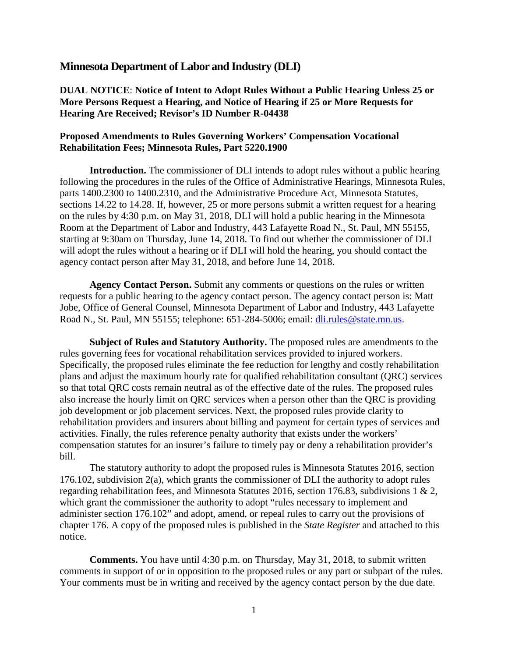## **Minnesota Department of Labor and Industry (DLI)**

**DUAL NOTICE**: **Notice of Intent to Adopt Rules Without a Public Hearing Unless 25 or More Persons Request a Hearing, and Notice of Hearing if 25 or More Requests for Hearing Are Received; Revisor's ID Number R-04438**

## **Proposed Amendments to Rules Governing Workers' Compensation Vocational Rehabilitation Fees; Minnesota Rules, Part 5220.1900**

**Introduction.** The commissioner of DLI intends to adopt rules without a public hearing following the procedures in the rules of the Office of Administrative Hearings, Minnesota Rules, parts 1400.2300 to 1400.2310, and the Administrative Procedure Act, Minnesota Statutes, sections 14.22 to 14.28. If, however, 25 or more persons submit a written request for a hearing on the rules by 4:30 p.m. on May 31, 2018, DLI will hold a public hearing in the Minnesota Room at the Department of Labor and Industry, 443 Lafayette Road N., St. Paul, MN 55155, starting at 9:30am on Thursday, June 14, 2018. To find out whether the commissioner of DLI will adopt the rules without a hearing or if DLI will hold the hearing, you should contact the agency contact person after May 31, 2018, and before June 14, 2018.

**Agency Contact Person.** Submit any comments or questions on the rules or written requests for a public hearing to the agency contact person. The agency contact person is: Matt Jobe, Office of General Counsel, Minnesota Department of Labor and Industry, 443 Lafayette Road N., St. Paul, MN 55155; telephone: 651-284-5006; email: [dli.rules@state.mn.us.](mailto:dli.rules@state.mn.us)

**Subject of Rules and Statutory Authority.** The proposed rules are amendments to the rules governing fees for vocational rehabilitation services provided to injured workers. Specifically, the proposed rules eliminate the fee reduction for lengthy and costly rehabilitation plans and adjust the maximum hourly rate for qualified rehabilitation consultant (QRC) services so that total QRC costs remain neutral as of the effective date of the rules. The proposed rules also increase the hourly limit on QRC services when a person other than the QRC is providing job development or job placement services. Next, the proposed rules provide clarity to rehabilitation providers and insurers about billing and payment for certain types of services and activities. Finally, the rules reference penalty authority that exists under the workers' compensation statutes for an insurer's failure to timely pay or deny a rehabilitation provider's bill.

The statutory authority to adopt the proposed rules is Minnesota Statutes 2016, section 176.102, subdivision 2(a), which grants the commissioner of DLI the authority to adopt rules regarding rehabilitation fees, and Minnesota Statutes 2016, section 176.83, subdivisions 1 & 2, which grant the commissioner the authority to adopt "rules necessary to implement and administer section 176.102" and adopt, amend, or repeal rules to carry out the provisions of chapter 176. A copy of the proposed rules is published in the *State Register* and attached to this notice.

**Comments.** You have until 4:30 p.m. on Thursday, May 31, 2018, to submit written comments in support of or in opposition to the proposed rules or any part or subpart of the rules. Your comments must be in writing and received by the agency contact person by the due date.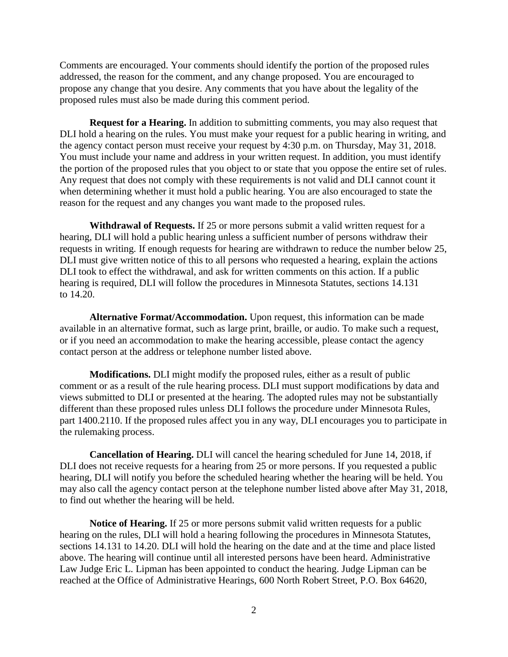Comments are encouraged. Your comments should identify the portion of the proposed rules addressed, the reason for the comment, and any change proposed. You are encouraged to propose any change that you desire. Any comments that you have about the legality of the proposed rules must also be made during this comment period.

**Request for a Hearing.** In addition to submitting comments, you may also request that DLI hold a hearing on the rules. You must make your request for a public hearing in writing, and the agency contact person must receive your request by 4:30 p.m. on Thursday, May 31, 2018. You must include your name and address in your written request. In addition, you must identify the portion of the proposed rules that you object to or state that you oppose the entire set of rules. Any request that does not comply with these requirements is not valid and DLI cannot count it when determining whether it must hold a public hearing. You are also encouraged to state the reason for the request and any changes you want made to the proposed rules.

**Withdrawal of Requests.** If 25 or more persons submit a valid written request for a hearing, DLI will hold a public hearing unless a sufficient number of persons withdraw their requests in writing. If enough requests for hearing are withdrawn to reduce the number below 25, DLI must give written notice of this to all persons who requested a hearing, explain the actions DLI took to effect the withdrawal, and ask for written comments on this action. If a public hearing is required, DLI will follow the procedures in Minnesota Statutes, sections 14.131 to 14.20.

**Alternative Format/Accommodation.** Upon request, this information can be made available in an alternative format, such as large print, braille, or audio. To make such a request, or if you need an accommodation to make the hearing accessible, please contact the agency contact person at the address or telephone number listed above.

**Modifications.** DLI might modify the proposed rules, either as a result of public comment or as a result of the rule hearing process. DLI must support modifications by data and views submitted to DLI or presented at the hearing. The adopted rules may not be substantially different than these proposed rules unless DLI follows the procedure under Minnesota Rules, part 1400.2110. If the proposed rules affect you in any way, DLI encourages you to participate in the rulemaking process.

**Cancellation of Hearing.** DLI will cancel the hearing scheduled for June 14, 2018, if DLI does not receive requests for a hearing from 25 or more persons. If you requested a public hearing, DLI will notify you before the scheduled hearing whether the hearing will be held. You may also call the agency contact person at the telephone number listed above after May 31, 2018, to find out whether the hearing will be held.

**Notice of Hearing.** If 25 or more persons submit valid written requests for a public hearing on the rules, DLI will hold a hearing following the procedures in Minnesota Statutes, sections 14.131 to 14.20. DLI will hold the hearing on the date and at the time and place listed above. The hearing will continue until all interested persons have been heard. Administrative Law Judge Eric L. Lipman has been appointed to conduct the hearing. Judge Lipman can be reached at the Office of Administrative Hearings, 600 North Robert Street, P.O. Box 64620,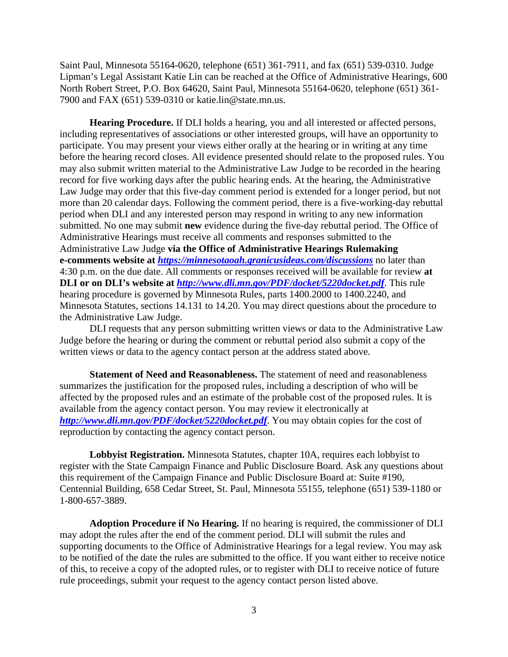Saint Paul, Minnesota 55164-0620, telephone (651) 361-7911, and fax (651) 539-0310. Judge Lipman's Legal Assistant Katie Lin can be reached at the Office of Administrative Hearings, 600 North Robert Street, P.O. Box 64620, Saint Paul, Minnesota 55164-0620, telephone (651) 361- 7900 and FAX (651) 539-0310 or katie.lin@state.mn.us.

**Hearing Procedure.** If DLI holds a hearing, you and all interested or affected persons, including representatives of associations or other interested groups, will have an opportunity to participate. You may present your views either orally at the hearing or in writing at any time before the hearing record closes. All evidence presented should relate to the proposed rules. You may also submit written material to the Administrative Law Judge to be recorded in the hearing record for five working days after the public hearing ends. At the hearing, the Administrative Law Judge may order that this five-day comment period is extended for a longer period, but not more than 20 calendar days. Following the comment period, there is a five-working-day rebuttal period when DLI and any interested person may respond in writing to any new information submitted. No one may submit **new** evidence during the five-day rebuttal period. The Office of Administrative Hearings must receive all comments and responses submitted to the Administrative Law Judge **via the Office of Administrative Hearings Rulemaking e-comments website at** *<https://minnesotaoah.granicusideas.com/discussions>* no later than 4:30 p.m. on the due date. All comments or responses received will be available for review **at DLI or on DLI's website at** *<http://www.dli.mn.gov/PDF/docket/5220docket.pdf>*. This rule hearing procedure is governed by Minnesota Rules, parts 1400.2000 to 1400.2240, and Minnesota Statutes, sections 14.131 to 14.20. You may direct questions about the procedure to the Administrative Law Judge.

DLI requests that any person submitting written views or data to the Administrative Law Judge before the hearing or during the comment or rebuttal period also submit a copy of the written views or data to the agency contact person at the address stated above.

**Statement of Need and Reasonableness.** The statement of need and reasonableness summarizes the justification for the proposed rules, including a description of who will be affected by the proposed rules and an estimate of the probable cost of the proposed rules. It is available from the agency contact person. You may review it electronically at *<http://www.dli.mn.gov/PDF/docket/5220docket.pdf>*. You may obtain copies for the cost of reproduction by contacting the agency contact person.

**Lobbyist Registration.** Minnesota Statutes, chapter 10A, requires each lobbyist to register with the State Campaign Finance and Public Disclosure Board. Ask any questions about this requirement of the Campaign Finance and Public Disclosure Board at: Suite #190, Centennial Building, 658 Cedar Street, St. Paul, Minnesota 55155, telephone (651) 539-1180 or 1-800-657-3889.

**Adoption Procedure if No Hearing.** If no hearing is required, the commissioner of DLI may adopt the rules after the end of the comment period. DLI will submit the rules and supporting documents to the Office of Administrative Hearings for a legal review. You may ask to be notified of the date the rules are submitted to the office. If you want either to receive notice of this, to receive a copy of the adopted rules, or to register with DLI to receive notice of future rule proceedings, submit your request to the agency contact person listed above.